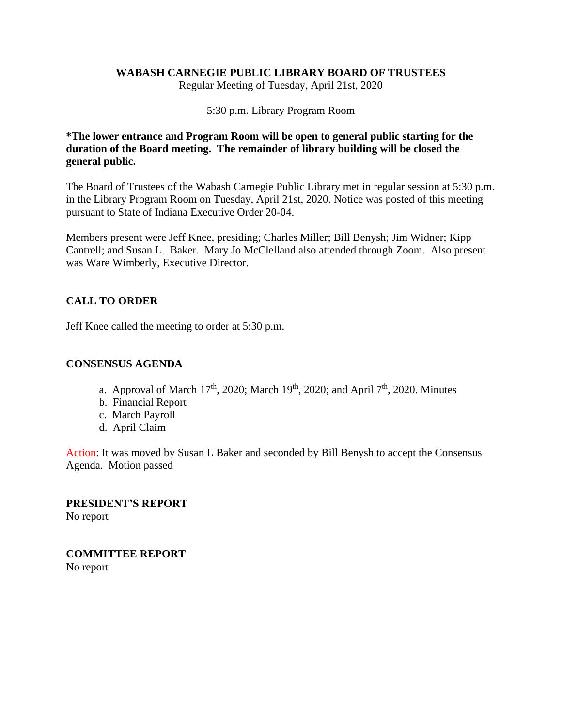## **WABASH CARNEGIE PUBLIC LIBRARY BOARD OF TRUSTEES**

Regular Meeting of Tuesday, April 21st, 2020

#### 5:30 p.m. Library Program Room

## **\*The lower entrance and Program Room will be open to general public starting for the duration of the Board meeting. The remainder of library building will be closed the general public.**

The Board of Trustees of the Wabash Carnegie Public Library met in regular session at 5:30 p.m. in the Library Program Room on Tuesday, April 21st, 2020. Notice was posted of this meeting pursuant to State of Indiana Executive Order 20-04.

Members present were Jeff Knee, presiding; Charles Miller; Bill Benysh; Jim Widner; Kipp Cantrell; and Susan L. Baker. Mary Jo McClelland also attended through Zoom. Also present was Ware Wimberly, Executive Director.

## **CALL TO ORDER**

Jeff Knee called the meeting to order at 5:30 p.m.

### **CONSENSUS AGENDA**

- a. Approval of March 17<sup>th</sup>, 2020; March 19<sup>th</sup>, 2020; and April 7<sup>th</sup>, 2020. Minutes
- b. Financial Report
- c. March Payroll
- d. April Claim

Action: It was moved by Susan L Baker and seconded by Bill Benysh to accept the Consensus Agenda. Motion passed

**PRESIDENT'S REPORT** No report

**COMMITTEE REPORT** No report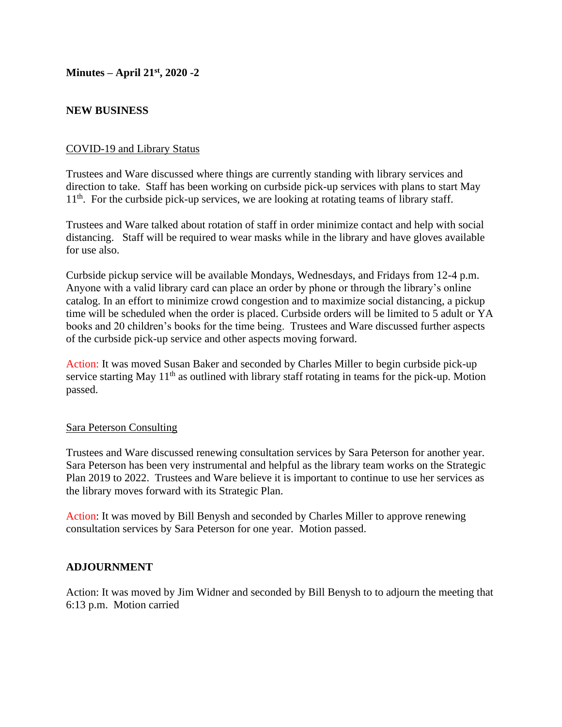**Minutes – April 21st, 2020 -2**

## **NEW BUSINESS**

## COVID-19 and Library Status

Trustees and Ware discussed where things are currently standing with library services and direction to take. Staff has been working on curbside pick-up services with plans to start May 11<sup>th</sup>. For the curbside pick-up services, we are looking at rotating teams of library staff.

Trustees and Ware talked about rotation of staff in order minimize contact and help with social distancing. Staff will be required to wear masks while in the library and have gloves available for use also.

Curbside pickup service will be available Mondays, Wednesdays, and Fridays from 12-4 p.m. Anyone with a valid library card can place an order by phone or through the library's online catalog. In an effort to minimize crowd congestion and to maximize social distancing, a pickup time will be scheduled when the order is placed. Curbside orders will be limited to 5 adult or YA books and 20 children's books for the time being. Trustees and Ware discussed further aspects of the curbside pick-up service and other aspects moving forward.

Action: It was moved Susan Baker and seconded by Charles Miller to begin curbside pick-up service starting May  $11<sup>th</sup>$  as outlined with library staff rotating in teams for the pick-up. Motion passed.

#### Sara Peterson Consulting

Trustees and Ware discussed renewing consultation services by Sara Peterson for another year. Sara Peterson has been very instrumental and helpful as the library team works on the Strategic Plan 2019 to 2022. Trustees and Ware believe it is important to continue to use her services as the library moves forward with its Strategic Plan.

Action: It was moved by Bill Benysh and seconded by Charles Miller to approve renewing consultation services by Sara Peterson for one year. Motion passed.

## **ADJOURNMENT**

Action: It was moved by Jim Widner and seconded by Bill Benysh to to adjourn the meeting that 6:13 p.m. Motion carried